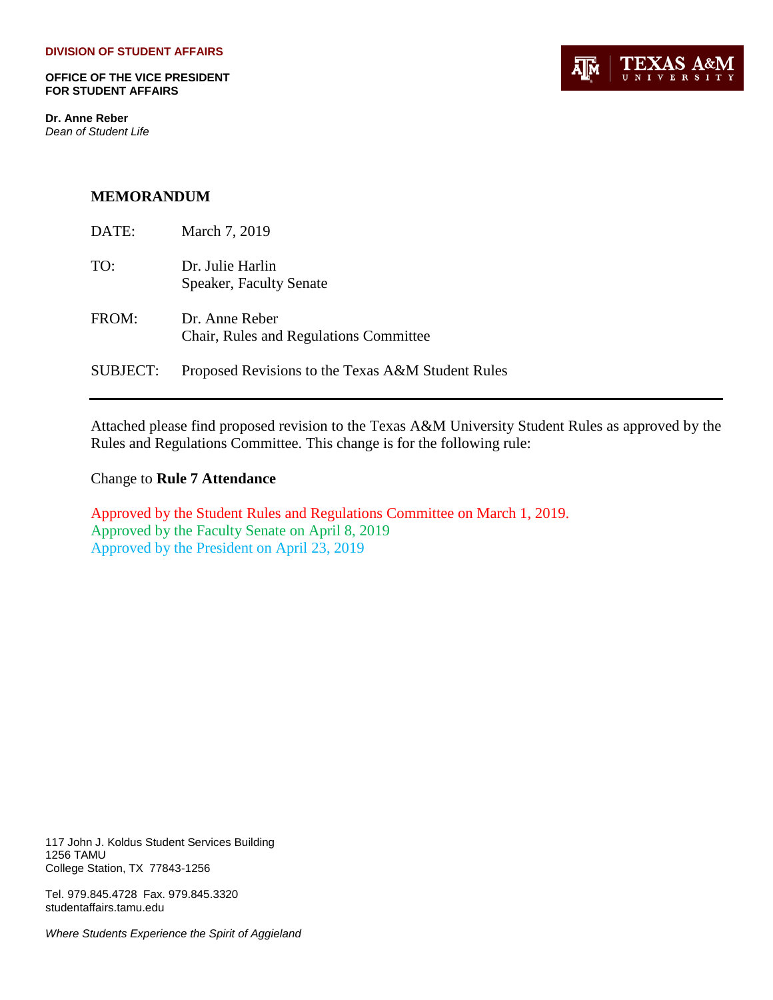**OFFICE OF THE VICE PRESIDENT FOR STUDENT AFFAIRS**

**Dr. Anne Reber** *Dean of Student Life*



#### **MEMORANDUM**

| DATE:    | March 7, 2019                                            |
|----------|----------------------------------------------------------|
| TO:      | Dr. Julie Harlin<br>Speaker, Faculty Senate              |
| FROM:    | Dr. Anne Reber<br>Chair, Rules and Regulations Committee |
| SUBJECT: | Proposed Revisions to the Texas A&M Student Rules        |

Attached please find proposed revision to the Texas A&M University Student Rules as approved by the Rules and Regulations Committee. This change is for the following rule:

Change to **Rule 7 Attendance**

Approved by the Student Rules and Regulations Committee on March 1, 2019. Approved by the Faculty Senate on April 8, 2019 Approved by the President on April 23, 2019

117 John J. Koldus Student Services Building 1256 TAMU College Station, TX 77843-1256

Tel. 979.845.4728 Fax. 979.845.3320 studentaffairs.tamu.edu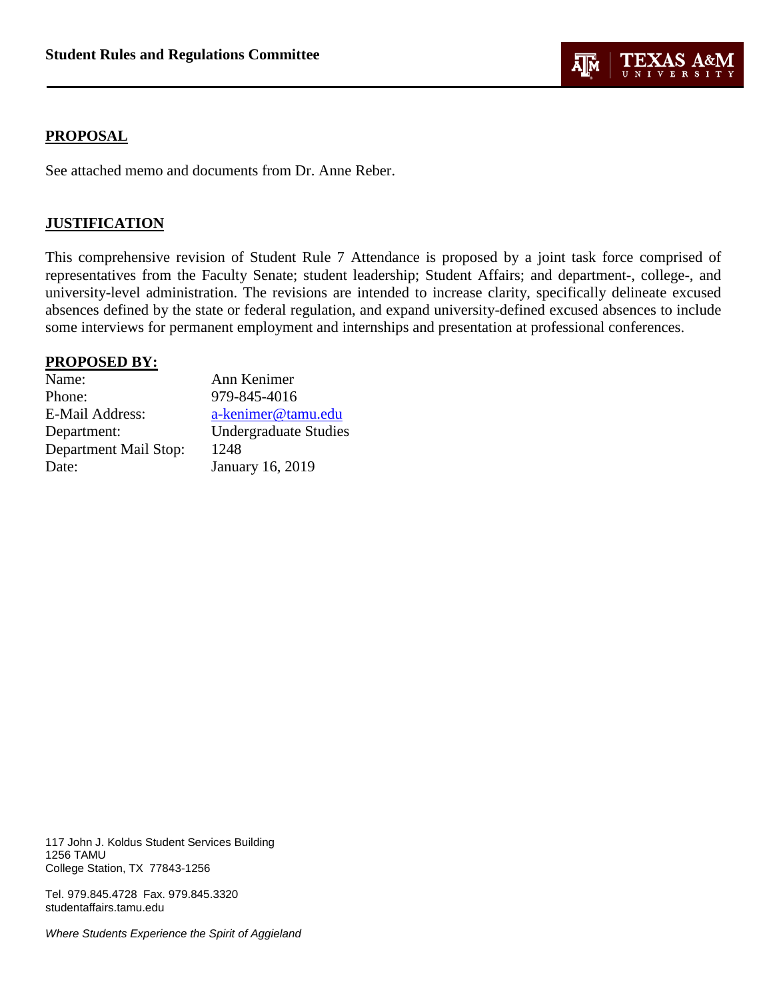

### **PROPOSAL**

See attached memo and documents from Dr. Anne Reber.

#### **JUSTIFICATION**

This comprehensive revision of Student Rule 7 Attendance is proposed by a joint task force comprised of representatives from the Faculty Senate; student leadership; Student Affairs; and department-, college-, and university-level administration. The revisions are intended to increase clarity, specifically delineate excused absences defined by the state or federal regulation, and expand university-defined excused absences to include some interviews for permanent employment and internships and presentation at professional conferences.

#### **PROPOSED BY:**

| Name:                 | Ann Kenimer                  |
|-----------------------|------------------------------|
| Phone:                | 979-845-4016                 |
| E-Mail Address:       | a-kenimer@tamu.edu           |
| Department:           | <b>Undergraduate Studies</b> |
| Department Mail Stop: | 1248                         |
| Date:                 | <b>January 16, 2019</b>      |

117 John J. Koldus Student Services Building 1256 TAMU College Station, TX 77843-1256

Tel. 979.845.4728 Fax. 979.845.3320 studentaffairs.tamu.edu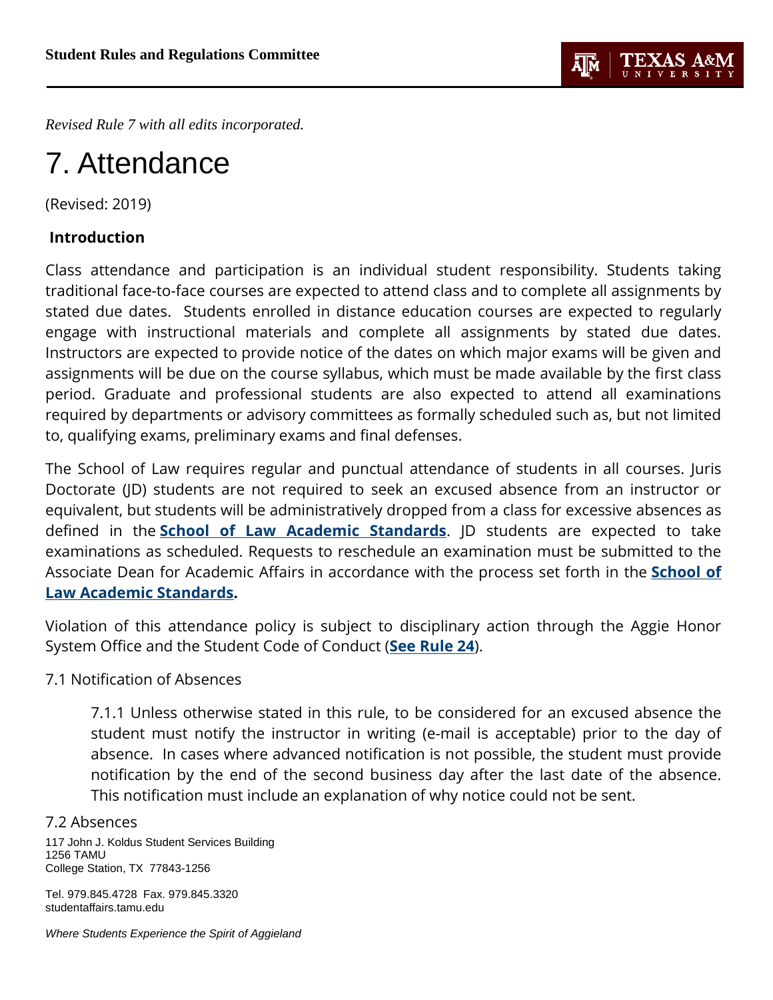

*Revised Rule 7 with all edits incorporated.*

# 7. Attendance

(Revised: 2019)

# **Introduction**

Class attendance and participation is an individual student responsibility. Students taking traditional face-to-face courses are expected to attend class and to complete all assignments by stated due dates. Students enrolled in distance education courses are expected to regularly engage with instructional materials and complete all assignments by stated due dates. Instructors are expected to provide notice of the dates on which major exams will be given and assignments will be due on the course syllabus, which must be made available by the first class period. Graduate and professional students are also expected to attend all examinations required by departments or advisory committees as formally scheduled such as, but not limited to, qualifying exams, preliminary exams and final defenses.

The School of Law requires regular and punctual attendance of students in all courses. Juris Doctorate (JD) students are not required to seek an excused absence from an instructor or equivalent, but students will be administratively dropped from a class for excessive absences as defined in the **[School of Law Academic Standards](https://law.tamu.edu/docs/default-source/current-students/Student-Handbook.pdf?sfvrsn=2)**. JD students are expected to take examinations as scheduled. Requests to reschedule an examination must be submitted to the Associate Dean for Academic Affairs in accordance with the process set forth in the **[School](https://law.tamu.edu/docs/default-source/current-students/Student-Handbook.pdf?sfvrsn=2) of [Law Academic Standards.](https://law.tamu.edu/docs/default-source/current-students/Student-Handbook.pdf?sfvrsn=2)**

Violation of this attendance policy is subject to disciplinary action through the Aggie Honor System Office and the Student Code of Conduct (**[See Rule 24](http://student-rules.tamu.edu/rule24)**).

7.1 Notification of Absences

7.1.1 Unless otherwise stated in this rule, to be considered for an excused absence the student must notify the instructor in writing (e-mail is acceptable) prior to the day of absence. In cases where advanced notification is not possible, the student must provide notification by the end of the second business day after the last date of the absence. This notification must include an explanation of why notice could not be sent.

## 7.2 Absences

117 John J. Koldus Student Services Building 1256 TAMU College Station, TX 77843-1256

Tel. 979.845.4728 Fax. 979.845.3320 studentaffairs.tamu.edu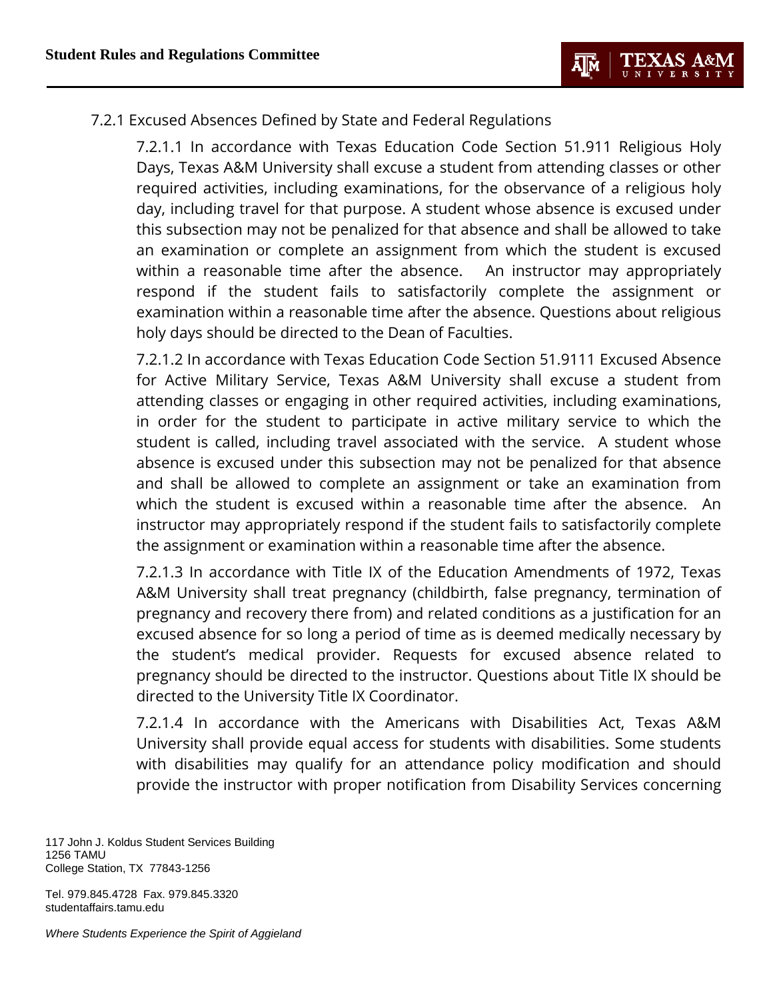

# 7.2.1 Excused Absences Defined by State and Federal Regulations

7.2.1.1 In accordance with Texas Education Code Section 51.911 Religious Holy Days, Texas A&M University shall excuse a student from attending classes or other required activities, including examinations, for the observance of a religious holy day, including travel for that purpose. A student whose absence is excused under this subsection may not be penalized for that absence and shall be allowed to take an examination or complete an assignment from which the student is excused within a reasonable time after the absence. An instructor may appropriately respond if the student fails to satisfactorily complete the assignment or examination within a reasonable time after the absence. Questions about religious holy days should be directed to the Dean of Faculties.

7.2.1.2 In accordance with Texas Education Code Section 51.9111 Excused Absence for Active Military Service, Texas A&M University shall excuse a student from attending classes or engaging in other required activities, including examinations, in order for the student to participate in active military service to which the student is called, including travel associated with the service. A student whose absence is excused under this subsection may not be penalized for that absence and shall be allowed to complete an assignment or take an examination from which the student is excused within a reasonable time after the absence. An instructor may appropriately respond if the student fails to satisfactorily complete the assignment or examination within a reasonable time after the absence.

7.2.1.3 In accordance with Title IX of the Education Amendments of 1972, Texas A&M University shall treat pregnancy (childbirth, false pregnancy, termination of pregnancy and recovery there from) and related conditions as a justification for an excused absence for so long a period of time as is deemed medically necessary by the student's medical provider. Requests for excused absence related to pregnancy should be directed to the instructor. Questions about Title IX should be directed to the University Title IX Coordinator.

7.2.1.4 In accordance with the Americans with Disabilities Act, Texas A&M University shall provide equal access for students with disabilities. Some students with disabilities may qualify for an attendance policy modification and should provide the instructor with proper notification from Disability Services concerning

117 John J. Koldus Student Services Building 1256 TAMU College Station, TX 77843-1256

Tel. 979.845.4728 Fax. 979.845.3320 studentaffairs.tamu.edu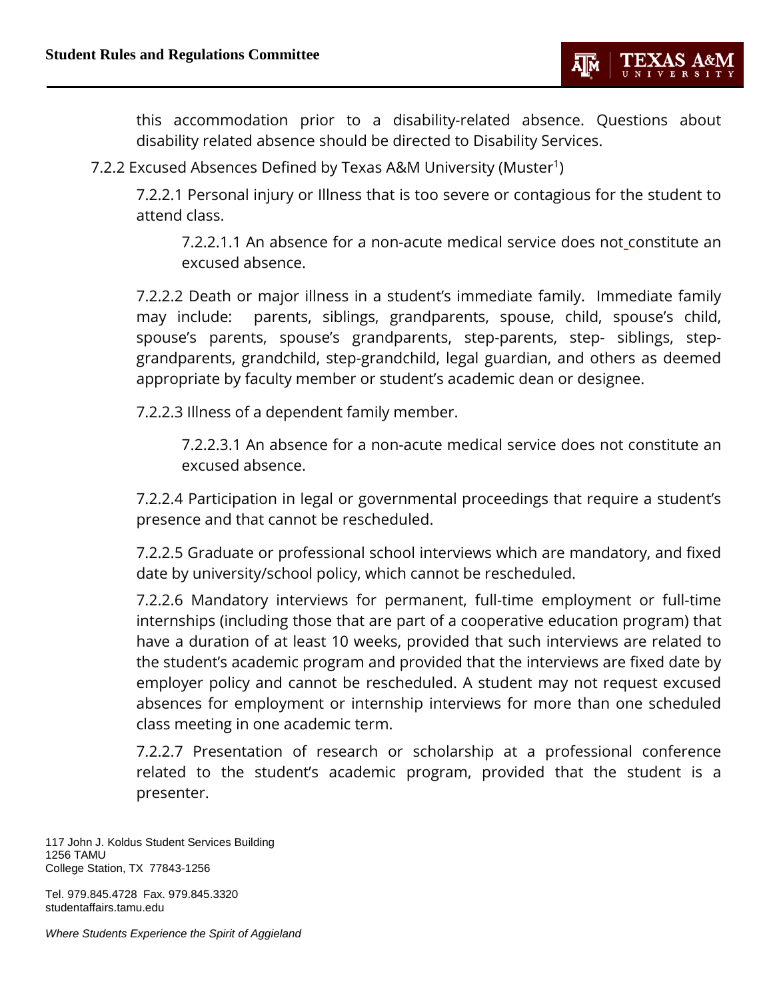this accommodation prior to a disability-related absence. Questions about disability related absence should be directed to Disability Services.

7.2.2 Excused Absences Defined by Texas A&M University (Muster<sup>1</sup>)

7.2.2.1 Personal injury or Illness that is too severe or contagious for the student to attend class.

7.2.2.1.1 An absence for a non-acute medical service does not constitute an excused absence.

7.2.2.2 Death or major illness in a student's immediate family. Immediate family may include: parents, siblings, grandparents, spouse, child, spouse's child, spouse's parents, spouse's grandparents, step-parents, step- siblings, stepgrandparents, grandchild, step-grandchild, legal guardian, and others as deemed appropriate by faculty member or student's academic dean or designee.

7.2.2.3 Illness of a dependent family member.

7.2.2.3.1 An absence for a non-acute medical service does not constitute an excused absence.

7.2.2.4 Participation in legal or governmental proceedings that require a student's presence and that cannot be rescheduled.

7.2.2.5 Graduate or professional school interviews which are mandatory, and fixed date by university/school policy, which cannot be rescheduled.

7.2.2.6 Mandatory interviews for permanent, full-time employment or full-time internships (including those that are part of a cooperative education program) that have a duration of at least 10 weeks, provided that such interviews are related to the student's academic program and provided that the interviews are fixed date by employer policy and cannot be rescheduled. A student may not request excused absences for employment or internship interviews for more than one scheduled class meeting in one academic term.

7.2.2.7 Presentation of research or scholarship at a professional conference related to the student's academic program, provided that the student is a presenter.

117 John J. Koldus Student Services Building 1256 TAMU College Station, TX 77843-1256

Tel. 979.845.4728 Fax. 979.845.3320 studentaffairs.tamu.edu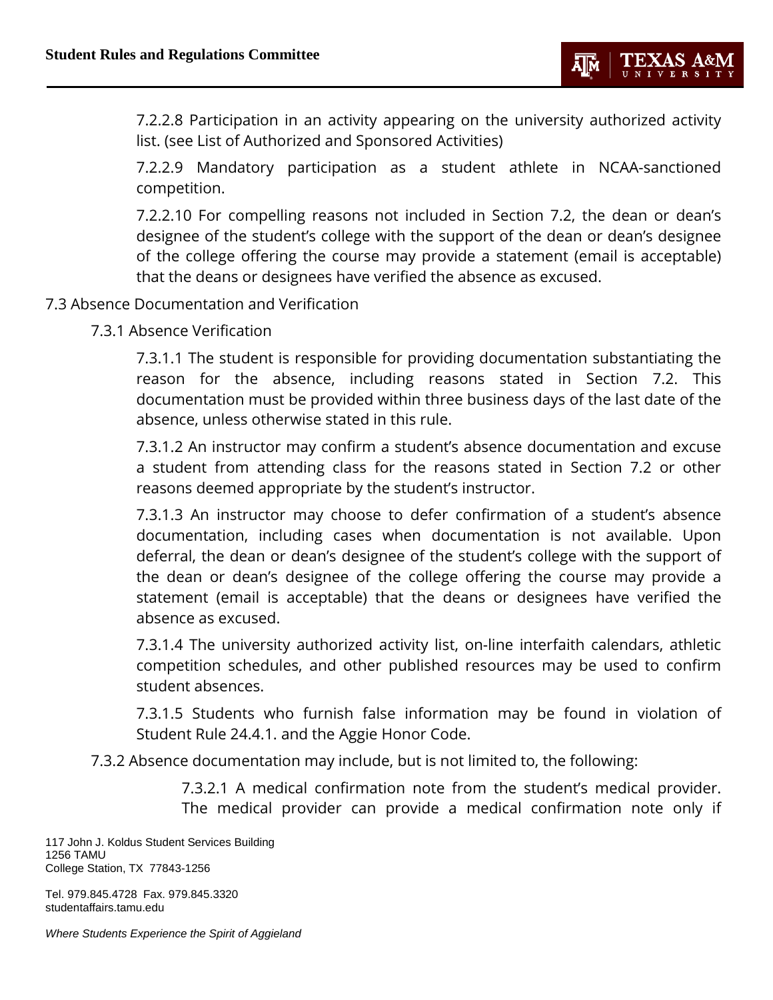7.2.2.8 Participation in an activity appearing on the university authorized activity list. (see List of Authorized and Sponsored Activities)

7.2.2.9 Mandatory participation as a student athlete in NCAA-sanctioned competition.

7.2.2.10 For compelling reasons not included in Section 7.2, the dean or dean's designee of the student's college with the support of the dean or dean's designee of the college offering the course may provide a statement (email is acceptable) that the deans or designees have verified the absence as excused.

## 7.3 Absence Documentation and Verification

7.3.1 Absence Verification

7.3.1.1 The student is responsible for providing documentation substantiating the reason for the absence, including reasons stated in Section 7.2. This documentation must be provided within three business days of the last date of the absence, unless otherwise stated in this rule.

7.3.1.2 An instructor may confirm a student's absence documentation and excuse a student from attending class for the reasons stated in Section 7.2 or other reasons deemed appropriate by the student's instructor.

7.3.1.3 An instructor may choose to defer confirmation of a student's absence documentation, including cases when documentation is not available. Upon deferral, the dean or dean's designee of the student's college with the support of the dean or dean's designee of the college offering the course may provide a statement (email is acceptable) that the deans or designees have verified the absence as excused.

7.3.1.4 The university authorized activity list, on-line interfaith calendars, athletic competition schedules, and other published resources may be used to confirm student absences.

7.3.1.5 Students who furnish false information may be found in violation of Student Rule 24.4.1. and the Aggie Honor Code.

7.3.2 Absence documentation may include, but is not limited to, the following:

7.3.2.1 A medical confirmation note from the student's medical provider. The medical provider can provide a medical confirmation note only if

117 John J. Koldus Student Services Building 1256 TAMU College Station, TX 77843-1256

Tel. 979.845.4728 Fax. 979.845.3320 studentaffairs.tamu.edu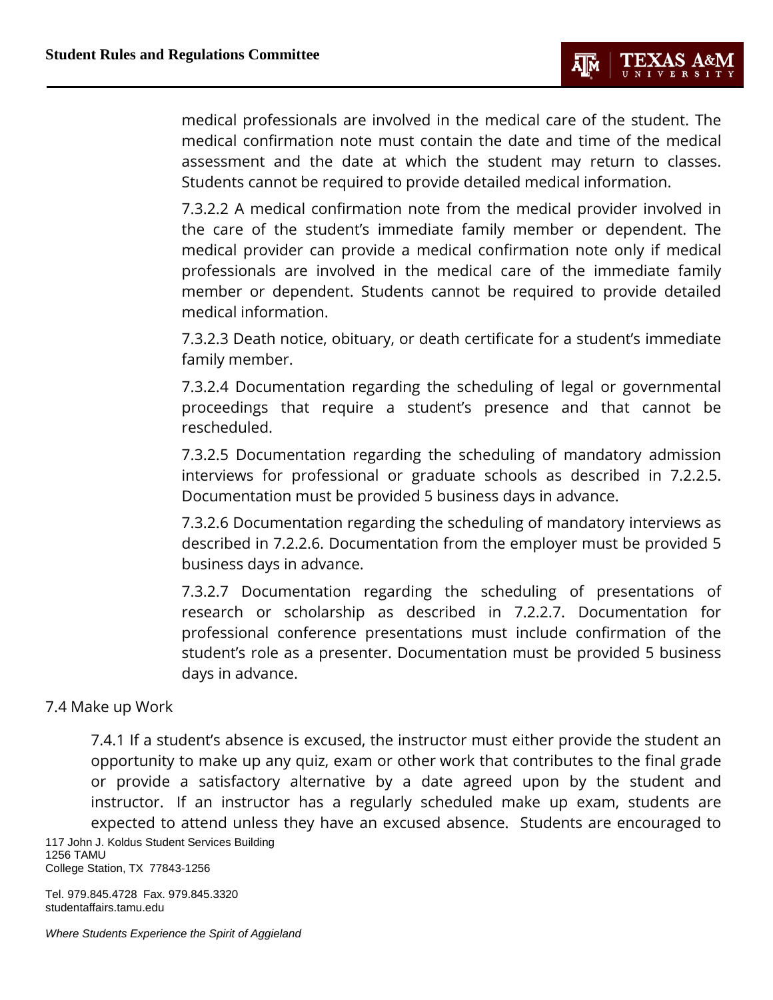medical professionals are involved in the medical care of the student. The medical confirmation note must contain the date and time of the medical assessment and the date at which the student may return to classes. Students cannot be required to provide detailed medical information.

7.3.2.2 A medical confirmation note from the medical provider involved in the care of the student's immediate family member or dependent. The medical provider can provide a medical confirmation note only if medical professionals are involved in the medical care of the immediate family member or dependent. Students cannot be required to provide detailed medical information.

7.3.2.3 Death notice, obituary, or death certificate for a student's immediate family member.

7.3.2.4 Documentation regarding the scheduling of legal or governmental proceedings that require a student's presence and that cannot be rescheduled.

7.3.2.5 Documentation regarding the scheduling of mandatory admission interviews for professional or graduate schools as described in 7.2.2.5. Documentation must be provided 5 business days in advance.

7.3.2.6 Documentation regarding the scheduling of mandatory interviews as described in 7.2.2.6. Documentation from the employer must be provided 5 business days in advance.

7.3.2.7 Documentation regarding the scheduling of presentations of research or scholarship as described in 7.2.2.7. Documentation for professional conference presentations must include confirmation of the student's role as a presenter. Documentation must be provided 5 business days in advance.

# 7.4 Make up Work

117 John J. Koldus Student Services Building 7.4.1 If a student's absence is excused, the instructor must either provide the student an opportunity to make up any quiz, exam or other work that contributes to the final grade or provide a satisfactory alternative by a date agreed upon by the student and instructor. If an instructor has a regularly scheduled make up exam, students are expected to attend unless they have an excused absence. Students are encouraged to

1256 TAMU College Station, TX 77843-1256

Tel. 979.845.4728 Fax. 979.845.3320 studentaffairs.tamu.edu